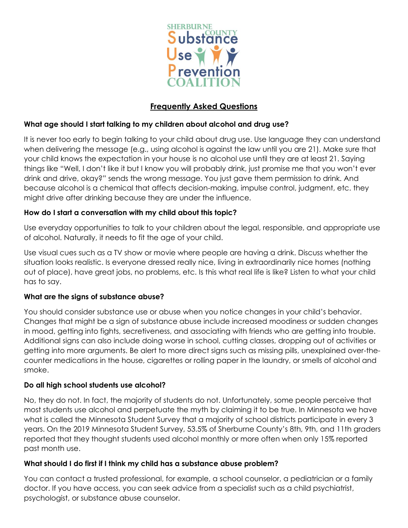

# **Frequently Asked Questions**

# **What age should I start talking to my children about alcohol and drug use?**

It is never too early to begin talking to your child about drug use. Use language they can understand when delivering the message (e.g., using alcohol is against the law until you are 21). Make sure that your child knows the expectation in your house is no alcohol use until they are at least 21. Saying things like "Well, I don't like it but I know you will probably drink, just promise me that you won't ever drink and drive, okay?" sends the wrong message. You just gave them permission to drink. And because alcohol is a chemical that affects decision-making, impulse control, judgment, etc. they might drive after drinking because they are under the influence.

# **How do I start a conversation with my child about this topic?**

Use everyday opportunities to talk to your children about the legal, responsible, and appropriate use of alcohol. Naturally, it needs to fit the age of your child.

Use visual cues such as a TV show or movie where people are having a drink. Discuss whether the situation looks realistic. Is everyone dressed really nice, living in extraordinarily nice homes (nothing out of place), have great jobs, no problems, etc. Is this what real life is like? Listen to what your child has to say.

# **What are the signs of substance abuse?**

You should consider substance use or abuse when you notice changes in your child's behavior. Changes that might be a sign of substance abuse include increased moodiness or sudden changes in mood, getting into fights, secretiveness, and associating with friends who are getting into trouble. Additional signs can also include doing worse in school, cutting classes, dropping out of activities or getting into more arguments. Be alert to more direct signs such as missing pills, unexplained over-thecounter medications in the house, cigarettes or rolling paper in the laundry, or smells of alcohol and smoke.

# **Do all high school students use alcohol?**

No, they do not. In fact, the majority of students do not. Unfortunately, some people perceive that most students use alcohol and perpetuate the myth by claiming it to be true. In Minnesota we have what is called the Minnesota Student Survey that a majority of school districts participate in every 3 years. On the 2019 Minnesota Student Survey, 53.5% of Sherburne County's 8th, 9th, and 11th graders reported that they thought students used alcohol monthly or more often when only 15% reported past month use.

# **What should I do first if I think my child has a substance abuse problem?**

You can contact a trusted professional, for example, a school counselor, a pediatrician or a family doctor. If you have access, you can seek advice from a specialist such as a child psychiatrist, psychologist, or substance abuse counselor.